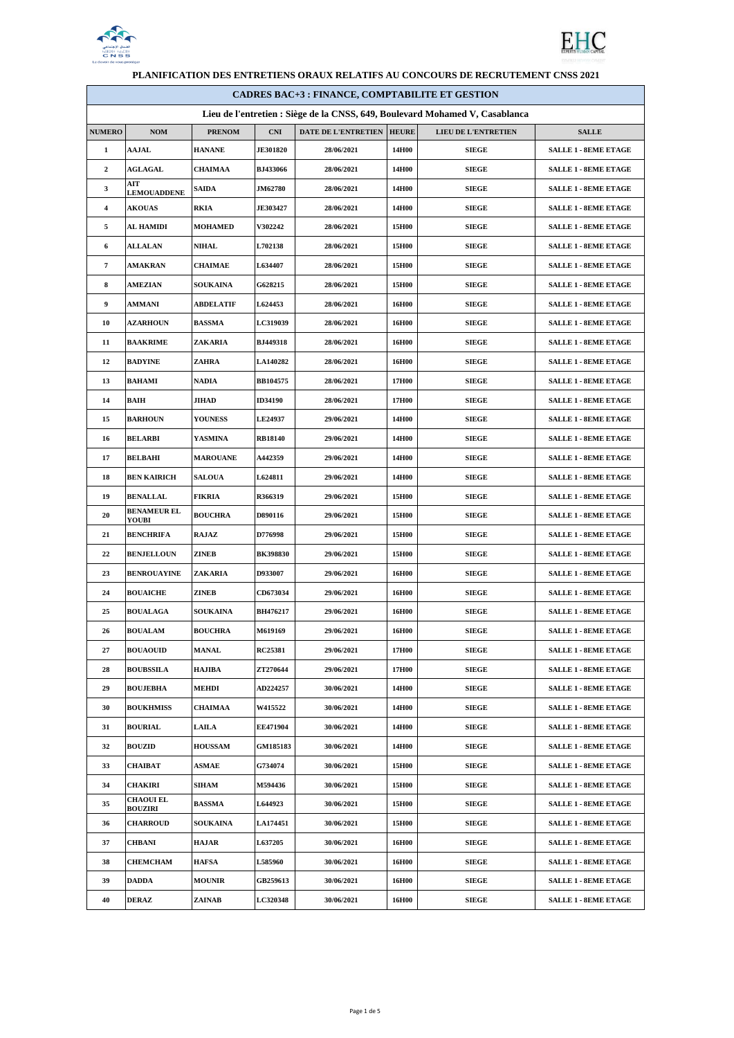



| <b>CADRES BAC+3 : FINANCE, COMPTABILITE ET GESTION</b>                       |                                    |                  |                 |                                  |       |                            |                             |
|------------------------------------------------------------------------------|------------------------------------|------------------|-----------------|----------------------------------|-------|----------------------------|-----------------------------|
| Lieu de l'entretien : Siège de la CNSS, 649, Boulevard Mohamed V, Casablanca |                                    |                  |                 |                                  |       |                            |                             |
| <b>NUMERO</b>                                                                | <b>NOM</b>                         | <b>PRENOM</b>    | <b>CNI</b>      | <b>DATE DE L'ENTRETIEN HEURE</b> |       | <b>LIEU DE L'ENTRETIEN</b> | <b>SALLE</b>                |
| $\mathbf{1}$                                                                 | <b>AAJAL</b>                       | <b>HANANE</b>    | <b>JE301820</b> | 28/06/2021                       | 14H00 | <b>SIEGE</b>               | <b>SALLE 1 - 8EME ETAGE</b> |
| $\boldsymbol{2}$                                                             | <b>AGLAGAL</b>                     | CHAIMAA          | <b>BJ433066</b> | 28/06/2021                       | 14H00 | <b>SIEGE</b>               | <b>SALLE 1 - 8EME ETAGE</b> |
| 3                                                                            | AIT<br><b>LEMOUADDENE</b>          | <b>SAIDA</b>     | <b>JM62780</b>  | 28/06/2021                       | 14H00 | <b>SIEGE</b>               | <b>SALLE 1 - 8EME ETAGE</b> |
| 4                                                                            | <b>AKOUAS</b>                      | RKIA             | <b>JE303427</b> | 28/06/2021                       | 14H00 | <b>SIEGE</b>               | <b>SALLE 1 - 8EME ETAGE</b> |
| 5                                                                            | AL HAMIDI                          | MOHAMED          | <b>V302242</b>  | 28/06/2021                       | 15H00 | <b>SIEGE</b>               | <b>SALLE 1 - 8EME ETAGE</b> |
| 6                                                                            | <b>ALLALAN</b>                     | NIHAL            | L702138         | 28/06/2021                       | 15H00 | <b>SIEGE</b>               | <b>SALLE 1 - 8EME ETAGE</b> |
| 7                                                                            | <b>AMAKRAN</b>                     | <b>CHAIMAE</b>   | L634407         | 28/06/2021                       | 15H00 | <b>SIEGE</b>               | <b>SALLE 1 - 8EME ETAGE</b> |
| 8                                                                            | AMEZIAN                            | <b>SOUKAINA</b>  | G628215         | 28/06/2021                       | 15H00 | <b>SIEGE</b>               | <b>SALLE 1 - 8EME ETAGE</b> |
| 9                                                                            | <b>AMMANI</b>                      | <b>ABDELATIF</b> | <b>L624453</b>  | 28/06/2021                       | 16H00 | <b>SIEGE</b>               | <b>SALLE 1 - 8EME ETAGE</b> |
| 10                                                                           | <b>AZARHOUN</b>                    | <b>BASSMA</b>    | LC319039        | 28/06/2021                       | 16H00 | <b>SIEGE</b>               | <b>SALLE 1 - 8EME ETAGE</b> |
| 11                                                                           | <b>BAAKRIME</b>                    | ZAKARIA          | BJ449318        | 28/06/2021                       | 16H00 | <b>SIEGE</b>               | <b>SALLE 1 - 8EME ETAGE</b> |
| 12                                                                           | <b>BADYINE</b>                     | ZAHRA            | LA140282        | 28/06/2021                       | 16H00 | <b>SIEGE</b>               | <b>SALLE 1 - 8EME ETAGE</b> |
| 13                                                                           | BAHAMI                             | <b>NADIA</b>     | BB104575        | 28/06/2021                       | 17H00 | <b>SIEGE</b>               | <b>SALLE 1 - 8EME ETAGE</b> |
| 14                                                                           | BAIH                               | JIHAD            | <b>ID34190</b>  | 28/06/2021                       | 17H00 | <b>SIEGE</b>               | <b>SALLE 1 - 8EME ETAGE</b> |
| 15                                                                           | <b>BARHOUN</b>                     | <b>YOUNESS</b>   | LE24937         | 29/06/2021                       | 14H00 | <b>SIEGE</b>               | <b>SALLE 1 - 8EME ETAGE</b> |
| 16                                                                           | <b>BELARBI</b>                     | YASMINA          | <b>RB18140</b>  | 29/06/2021                       | 14H00 | <b>SIEGE</b>               | <b>SALLE 1 - 8EME ETAGE</b> |
| 17                                                                           | <b>BELBAHI</b>                     | <b>MAROUANE</b>  | A442359         | 29/06/2021                       | 14H00 | <b>SIEGE</b>               | <b>SALLE 1 - 8EME ETAGE</b> |
| 18                                                                           | <b>BEN KAIRICH</b>                 | <b>SALOUA</b>    | L624811         | 29/06/2021                       | 14H00 | <b>SIEGE</b>               | <b>SALLE 1 - 8EME ETAGE</b> |
| 19                                                                           | <b>BENALLAL</b>                    | <b>FIKRIA</b>    | R366319         | 29/06/2021                       | 15H00 | <b>SIEGE</b>               | <b>SALLE 1 - 8EME ETAGE</b> |
| 20                                                                           | <b>BENAMEUR EL</b><br>YOUBI        | <b>BOUCHRA</b>   | D890116         | 29/06/2021                       | 15H00 | <b>SIEGE</b>               | <b>SALLE 1 - 8EME ETAGE</b> |
| 21                                                                           | <b>BENCHRIFA</b>                   | RAJAZ            | D776998         | 29/06/2021                       | 15H00 | <b>SIEGE</b>               | <b>SALLE 1 - 8EME ETAGE</b> |
| 22                                                                           | <b>BENJELLOUN</b>                  | ZINEB            | <b>BK398830</b> | 29/06/2021                       | 15H00 | <b>SIEGE</b>               | <b>SALLE 1 - 8EME ETAGE</b> |
| 23                                                                           | <b>BENROUAYINE</b>                 | ZAKARIA          | D933007         | 29/06/2021                       | 16H00 | <b>SIEGE</b>               | <b>SALLE 1 - 8EME ETAGE</b> |
| 24                                                                           | <b>BOUAICHE</b>                    | ZINEB            | CD673034        | 29/06/2021                       | 16H00 | <b>SIEGE</b>               | <b>SALLE 1 - 8EME ETAGE</b> |
| 25                                                                           | <b>BOUALAGA</b>                    | <b>SOUKAINA</b>  | BH476217        | 29/06/2021                       | 16H00 | <b>SIEGE</b>               | <b>SALLE 1 - 8EME ETAGE</b> |
| 26                                                                           | <b>BOUALAM</b>                     | <b>BOUCHRA</b>   | M619169         | 29/06/2021                       | 16H00 | SIEGE                      | <b>SALLE 1 - 8EME ETAGE</b> |
| 27                                                                           | <b>BOUAOUID</b>                    | <b>MANAL</b>     | <b>RC25381</b>  | 29/06/2021                       | 17H00 | <b>SIEGE</b>               | <b>SALLE 1 - 8EME ETAGE</b> |
| 28                                                                           | <b>BOUBSSILA</b>                   | HAJIBA           | ZT270644        | 29/06/2021                       | 17H00 | <b>SIEGE</b>               | <b>SALLE 1 - 8EME ETAGE</b> |
| 29                                                                           | <b>BOUJEBHA</b>                    | <b>MEHDI</b>     | AD224257        | 30/06/2021                       | 14H00 | <b>SIEGE</b>               | <b>SALLE 1 - 8EME ETAGE</b> |
| 30                                                                           | <b>BOUKHMISS</b>                   | <b>CHAIMAA</b>   | W415522         | 30/06/2021                       | 14H00 | <b>SIEGE</b>               | <b>SALLE 1 - 8EME ETAGE</b> |
| 31                                                                           | <b>BOURIAL</b>                     | <b>LAILA</b>     | EE471904        | 30/06/2021                       | 14H00 | SIEGE                      | <b>SALLE 1 - 8EME ETAGE</b> |
| 32                                                                           | <b>BOUZID</b>                      | <b>HOUSSAM</b>   | <b>GM185183</b> | 30/06/2021                       | 14H00 | <b>SIEGE</b>               | <b>SALLE 1 - 8EME ETAGE</b> |
| 33                                                                           | <b>CHAIBAT</b>                     | <b>ASMAE</b>     | G734074         | 30/06/2021                       | 15H00 | <b>SIEGE</b>               | <b>SALLE 1 - 8EME ETAGE</b> |
| 34                                                                           | <b>CHAKIRI</b>                     | SIHAM            | M594436         | 30/06/2021                       | 15H00 | <b>SIEGE</b>               | <b>SALLE 1 - 8EME ETAGE</b> |
| 35                                                                           | <b>CHAOUI EL</b><br><b>BOUZIRI</b> | <b>BASSMA</b>    | L644923         | 30/06/2021                       | 15H00 | SIEGE                      | <b>SALLE 1 - 8EME ETAGE</b> |
| 36                                                                           | <b>CHARROUD</b>                    | <b>SOUKAINA</b>  | LA174451        | 30/06/2021                       | 15H00 | SIEGE                      | <b>SALLE 1 - 8EME ETAGE</b> |
| 37                                                                           | CHBANI                             | HAJAR            | <b>L637205</b>  | 30/06/2021                       | 16H00 | SIEGE                      | <b>SALLE 1 - 8EME ETAGE</b> |
| 38                                                                           | <b>CHEMCHAM</b>                    | <b>HAFSA</b>     | <b>L585960</b>  | 30/06/2021                       | 16H00 | <b>SIEGE</b>               | <b>SALLE 1 - 8EME ETAGE</b> |
| 39                                                                           | <b>DADDA</b>                       | <b>MOUNIR</b>    | GB259613        | 30/06/2021                       | 16H00 | SIEGE                      | <b>SALLE 1 - 8EME ETAGE</b> |
| 40                                                                           | DERAZ                              | ZAINAB           | LC320348        | 30/06/2021                       | 16H00 | <b>SIEGE</b>               | <b>SALLE 1 - 8EME ETAGE</b> |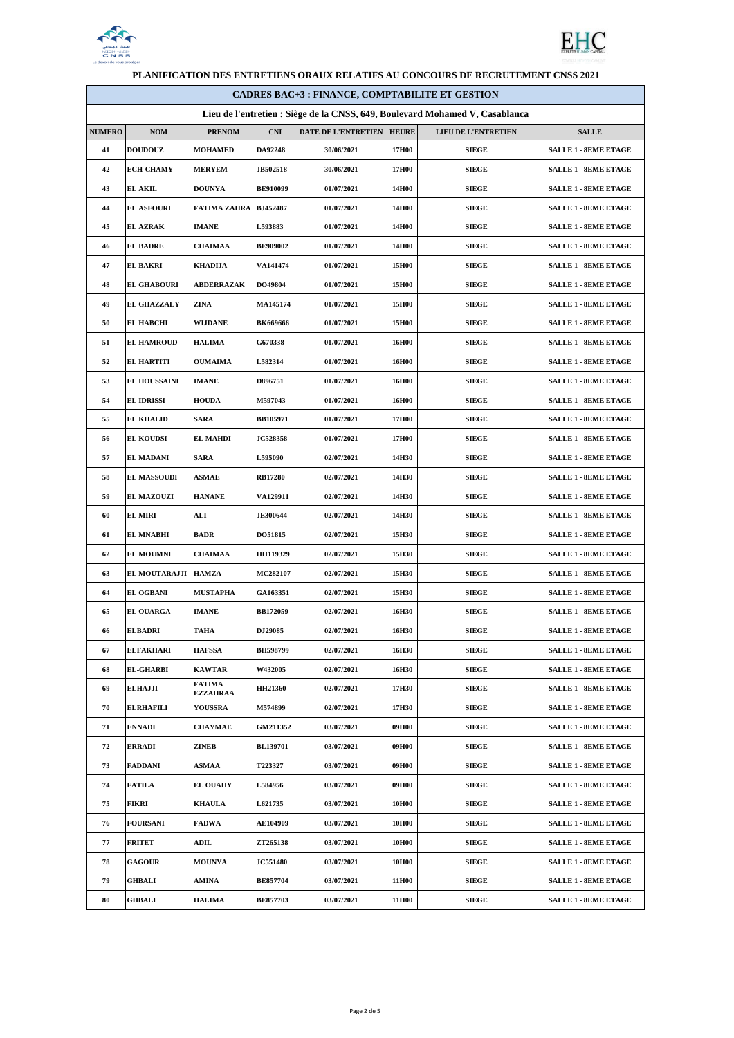



| <b>CADRES BAC+3 : FINANCE, COMPTABILITE ET GESTION</b>                       |                     |                                  |                 |                     |              |                            |                             |
|------------------------------------------------------------------------------|---------------------|----------------------------------|-----------------|---------------------|--------------|----------------------------|-----------------------------|
| Lieu de l'entretien : Siège de la CNSS, 649, Boulevard Mohamed V, Casablanca |                     |                                  |                 |                     |              |                            |                             |
| <b>NUMERO</b>                                                                | <b>NOM</b>          | <b>PRENOM</b>                    | <b>CNI</b>      | DATE DE L'ENTRETIEN | <b>HEURE</b> | <b>LIEU DE L'ENTRETIEN</b> | <b>SALLE</b>                |
| 41                                                                           | <b>DOUDOUZ</b>      | <b>MOHAMED</b>                   | DA92248         | 30/06/2021          | 17H00        | <b>SIEGE</b>               | <b>SALLE 1 - 8EME ETAGE</b> |
| 42                                                                           | <b>ECH-CHAMY</b>    | <b>MERYEM</b>                    | <b>JB502518</b> | 30/06/2021          | 17H00        | <b>SIEGE</b>               | <b>SALLE 1 - 8EME ETAGE</b> |
| 43                                                                           | <b>EL AKIL</b>      | <b>DOUNYA</b>                    | <b>BE910099</b> | 01/07/2021          | 14H00        | <b>SIEGE</b>               | <b>SALLE 1 - 8EME ETAGE</b> |
| 44                                                                           | <b>EL ASFOURI</b>   | FATIMA ZAHRA                     | BJ452487        | 01/07/2021          | 14H00        | <b>SIEGE</b>               | <b>SALLE 1 - 8EME ETAGE</b> |
| 45                                                                           | <b>EL AZRAK</b>     | <b>IMANE</b>                     | L593883         | 01/07/2021          | 14H00        | <b>SIEGE</b>               | <b>SALLE 1 - 8EME ETAGE</b> |
| 46                                                                           | <b>EL BADRE</b>     | CHAIMAA                          | <b>BE909002</b> | 01/07/2021          | 14H00        | <b>SIEGE</b>               | <b>SALLE 1 - 8EME ETAGE</b> |
| 47                                                                           | <b>EL BAKRI</b>     | <b>KHADIJA</b>                   | <b>VA141474</b> | 01/07/2021          | 15H00        | <b>SIEGE</b>               | <b>SALLE 1 - 8EME ETAGE</b> |
| 48                                                                           | <b>EL GHABOURI</b>  | <b>ABDERRAZAK</b>                | DO49804         | 01/07/2021          | 15H00        | <b>SIEGE</b>               | <b>SALLE 1 - 8EME ETAGE</b> |
| 49                                                                           | <b>EL GHAZZALY</b>  | ZINA                             | <b>MA145174</b> | 01/07/2021          | 15H00        | <b>SIEGE</b>               | <b>SALLE 1 - 8EME ETAGE</b> |
| 50                                                                           | <b>EL HABCHI</b>    | WIJDANE                          | <b>BK669666</b> | 01/07/2021          | 15H00        | <b>SIEGE</b>               | <b>SALLE 1 - 8EME ETAGE</b> |
| 51                                                                           | <b>EL HAMROUD</b>   | <b>HALIMA</b>                    | G670338         | 01/07/2021          | 16H00        | <b>SIEGE</b>               | <b>SALLE 1 - 8EME ETAGE</b> |
| 52                                                                           | <b>EL HARTITI</b>   | <b>OUMAIMA</b>                   | L582314         | 01/07/2021          | 16H00        | <b>SIEGE</b>               | <b>SALLE 1 - 8EME ETAGE</b> |
| 53                                                                           | <b>EL HOUSSAINI</b> | <b>IMANE</b>                     | D896751         | 01/07/2021          | 16H00        | <b>SIEGE</b>               | <b>SALLE 1 - 8EME ETAGE</b> |
| 54                                                                           | <b>EL IDRISSI</b>   | <b>HOUDA</b>                     | M597043         | 01/07/2021          | 16H00        | <b>SIEGE</b>               | <b>SALLE 1 - 8EME ETAGE</b> |
| 55                                                                           | <b>EL KHALID</b>    | <b>SARA</b>                      | BB105971        | 01/07/2021          | 17H00        | <b>SIEGE</b>               | <b>SALLE 1 - 8EME ETAGE</b> |
| 56                                                                           | <b>EL KOUDSI</b>    | <b>EL MAHDI</b>                  | <b>JC528358</b> | 01/07/2021          | 17H00        | <b>SIEGE</b>               | <b>SALLE 1 - 8EME ETAGE</b> |
| 57                                                                           | <b>EL MADANI</b>    | <b>SARA</b>                      | <b>L595090</b>  | 02/07/2021          | 14H30        | <b>SIEGE</b>               | <b>SALLE 1 - 8EME ETAGE</b> |
| 58                                                                           | <b>EL MASSOUDI</b>  | <b>ASMAE</b>                     | <b>RB17280</b>  | 02/07/2021          | 14H30        | <b>SIEGE</b>               | <b>SALLE 1 - 8EME ETAGE</b> |
| 59                                                                           | <b>EL MAZOUZI</b>   | <b>HANANE</b>                    | <b>VA129911</b> | 02/07/2021          | 14H30        | <b>SIEGE</b>               | <b>SALLE 1 - 8EME ETAGE</b> |
| 60                                                                           | <b>EL MIRI</b>      | ALI                              | <b>JE300644</b> | 02/07/2021          | 14H30        | <b>SIEGE</b>               | <b>SALLE 1 - 8EME ETAGE</b> |
| 61                                                                           | <b>EL MNABHI</b>    | <b>BADR</b>                      | DO51815         | 02/07/2021          | 15H30        | <b>SIEGE</b>               | <b>SALLE 1 - 8EME ETAGE</b> |
| 62                                                                           | <b>EL MOUMNI</b>    | CHAIMAA                          | <b>HH119329</b> | 02/07/2021          | 15H30        | <b>SIEGE</b>               | <b>SALLE 1 - 8EME ETAGE</b> |
| 63                                                                           | EL MOUTARAJJI       | <b>HAMZA</b>                     | MC282107        | 02/07/2021          | 15H30        | <b>SIEGE</b>               | <b>SALLE 1 - 8EME ETAGE</b> |
| 64                                                                           | <b>EL OGBANI</b>    | <b>MUSTAPHA</b>                  | GA163351        | 02/07/2021          | 15H30        | <b>SIEGE</b>               | <b>SALLE 1 - 8EME ETAGE</b> |
| 65                                                                           | <b>EL OUARGA</b>    | <b>IMANE</b>                     | <b>BB172059</b> | 02/07/2021          | 16H30        | <b>SIEGE</b>               | <b>SALLE 1 - 8EME ETAGE</b> |
| 66                                                                           | <b>ELBADRI</b>      | TAHA                             | <b>DJ29085</b>  | 02/07/2021          | 16H30        | SIEGE                      | <b>SALLE 1 - 8EME ETAGE</b> |
| 67                                                                           | <b>ELFAKHARI</b>    | <b>HAFSSA</b>                    | <b>BH598799</b> | 02/07/2021          | 16H30        | <b>SIEGE</b>               | <b>SALLE 1 - 8EME ETAGE</b> |
| 68                                                                           | <b>EL-GHARBI</b>    | <b>KAWTAR</b>                    | W432005         | 02/07/2021          | 16H30        | <b>SIEGE</b>               | <b>SALLE 1 - 8EME ETAGE</b> |
| 69                                                                           | <b>ELHAJJI</b>      | <b>FATIMA</b><br><b>EZZAHRAA</b> | <b>HH21360</b>  | 02/07/2021          | 17H30        | <b>SIEGE</b>               | <b>SALLE 1 - 8EME ETAGE</b> |
| 70                                                                           | <b>ELRHAFILI</b>    | <b>YOUSSRA</b>                   | M574899         | 02/07/2021          | 17H30        | <b>SIEGE</b>               | <b>SALLE 1 - 8EME ETAGE</b> |
| 71                                                                           | <b>ENNADI</b>       | <b>CHAYMAE</b>                   | GM211352        | 03/07/2021          | 09H00        | SIEGE                      | <b>SALLE 1 - 8EME ETAGE</b> |
| 72                                                                           | <b>ERRADI</b>       | ZINEB                            | <b>BL139701</b> | 03/07/2021          | 09H00        | <b>SIEGE</b>               | <b>SALLE 1 - 8EME ETAGE</b> |
| 73                                                                           | <b>FADDANI</b>      | ASMAA                            | T223327         | 03/07/2021          | 09H00        | <b>SIEGE</b>               | <b>SALLE 1 - 8EME ETAGE</b> |
| 74                                                                           | <b>FATILA</b>       | <b>EL OUAHY</b>                  | L584956         | 03/07/2021          | 09H00        | <b>SIEGE</b>               | <b>SALLE 1 - 8EME ETAGE</b> |
| 75                                                                           | FIKRI               | <b>KHAULA</b>                    | L621735         | 03/07/2021          | 10H00        | <b>SIEGE</b>               | <b>SALLE 1 - 8EME ETAGE</b> |
| 76                                                                           | <b>FOURSANI</b>     | <b>FADWA</b>                     | AE104909        | 03/07/2021          | 10H00        | <b>SIEGE</b>               | <b>SALLE 1 - 8EME ETAGE</b> |
| 77                                                                           | <b>FRITET</b>       | ADIL                             | ZT265138        | 03/07/2021          | 10H00        | <b>SIEGE</b>               | <b>SALLE 1 - 8EME ETAGE</b> |
| 78                                                                           | <b>GAGOUR</b>       | <b>MOUNYA</b>                    | <b>JC551480</b> | 03/07/2021          | 10H00        | <b>SIEGE</b>               | <b>SALLE 1 - 8EME ETAGE</b> |
| 79                                                                           | GHBALI              | AMINA                            | <b>BE857704</b> | 03/07/2021          | 11H00        | <b>SIEGE</b>               | <b>SALLE 1 - 8EME ETAGE</b> |
| 80                                                                           | <b>GHBALI</b>       | <b>HALIMA</b>                    | <b>BE857703</b> | 03/07/2021          | 11H00        | <b>SIEGE</b>               | <b>SALLE 1 - 8EME ETAGE</b> |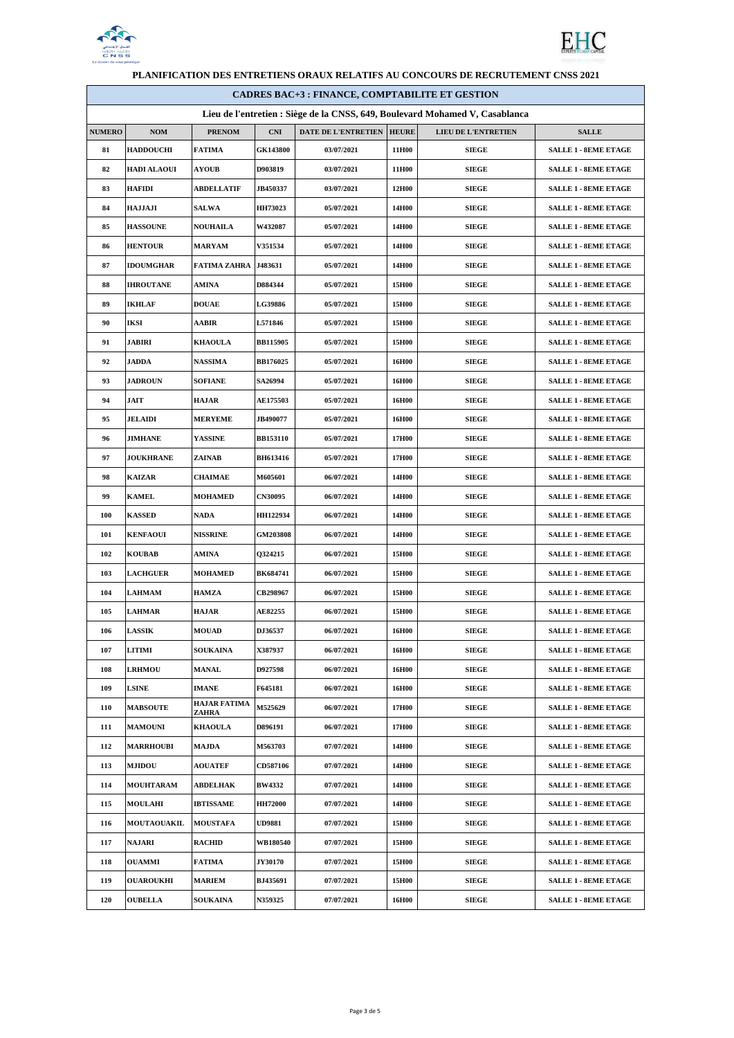



| FLANIFICATION DES ENTRETIENS ORAGA RELATIFS AU CONCOURS DE RECRUTEMENT CNSS 2021 |                    |                                     |                 |                     |              |                     |                             |
|----------------------------------------------------------------------------------|--------------------|-------------------------------------|-----------------|---------------------|--------------|---------------------|-----------------------------|
| <b>CADRES BAC+3 : FINANCE, COMPTABILITE ET GESTION</b>                           |                    |                                     |                 |                     |              |                     |                             |
| Lieu de l'entretien : Siège de la CNSS, 649, Boulevard Mohamed V, Casablanca     |                    |                                     |                 |                     |              |                     |                             |
| <b>NUMERO</b>                                                                    | NOM                | <b>PRENOM</b>                       | <b>CNI</b>      | DATE DE L'ENTRETIEN | <b>HEURE</b> | LIEU DE L'ENTRETIEN | <b>SALLE</b>                |
| 81                                                                               | <b>HADDOUCHI</b>   | <b>FATIMA</b>                       | <b>GK143800</b> | 03/07/2021          | 11H00        | <b>SIEGE</b>        | <b>SALLE 1 - 8EME ETAGE</b> |
| 82                                                                               | HADI ALAOUI        | <b>AYOUB</b>                        | D903819         | 03/07/2021          | 11H00        | <b>SIEGE</b>        | <b>SALLE 1 - 8EME ETAGE</b> |
| 83                                                                               | <b>HAFIDI</b>      | <b>ABDELLATIF</b>                   | <b>JB450337</b> | 03/07/2021          | 12H00        | <b>SIEGE</b>        | <b>SALLE 1 - 8EME ETAGE</b> |
| 84                                                                               | HAJJAJI            | <b>SALWA</b>                        | <b>HH73023</b>  | 05/07/2021          | 14H00        | <b>SIEGE</b>        | <b>SALLE 1 - 8EME ETAGE</b> |
| 85                                                                               | <b>HASSOUNE</b>    | <b>NOUHAILA</b>                     | W432087         | 05/07/2021          | 14H00        | <b>SIEGE</b>        | <b>SALLE 1 - 8EME ETAGE</b> |
| 86                                                                               | <b>HENTOUR</b>     | <b>MARYAM</b>                       | <b>V351534</b>  | 05/07/2021          | 14H00        | <b>SIEGE</b>        | <b>SALLE 1 - 8EME ETAGE</b> |
| 87                                                                               | <b>IDOUMGHAR</b>   | <b>FATIMA ZAHRA</b>                 | J483631         | 05/07/2021          | 14H00        | <b>SIEGE</b>        | <b>SALLE 1 - 8EME ETAGE</b> |
| 88                                                                               | <b>IHROUTANE</b>   | AMINA                               | D884344         | 05/07/2021          | 15H00        | <b>SIEGE</b>        | <b>SALLE 1 - 8EME ETAGE</b> |
| 89                                                                               | <b>IKHLAF</b>      | <b>DOUAE</b>                        | <b>LG39886</b>  | 05/07/2021          | 15H00        | <b>SIEGE</b>        | <b>SALLE 1 - 8EME ETAGE</b> |
| 90                                                                               | IKSI               | AABIR                               | <b>L571846</b>  | 05/07/2021          | 15H00        | <b>SIEGE</b>        | <b>SALLE 1 - 8EME ETAGE</b> |
| 91                                                                               | <b>JABIRI</b>      | <b>KHAOULA</b>                      | <b>BB115905</b> | 05/07/2021          | 15H00        | <b>SIEGE</b>        | <b>SALLE 1 - 8EME ETAGE</b> |
| 92                                                                               | JADDA              | <b>NASSIMA</b>                      | <b>BB176025</b> | 05/07/2021          | 16H00        | <b>SIEGE</b>        | <b>SALLE 1 - 8EME ETAGE</b> |
| 93                                                                               | <b>JADROUN</b>     | SOFIANE                             | SA26994         | 05/07/2021          | 16H00        | <b>SIEGE</b>        | <b>SALLE 1 - 8EME ETAGE</b> |
| 94                                                                               | <b>JAIT</b>        | <b>HAJAR</b>                        | <b>AE175503</b> | 05/07/2021          | 16H00        | <b>SIEGE</b>        | <b>SALLE 1 - 8EME ETAGE</b> |
| 95                                                                               | <b>JELAIDI</b>     | <b>MERYEME</b>                      | JB490077        | 05/07/2021          | 16H00        | <b>SIEGE</b>        | <b>SALLE 1 - 8EME ETAGE</b> |
| 96                                                                               | <b>JIMHANE</b>     | <b>YASSINE</b>                      | <b>BB153110</b> | 05/07/2021          | 17H00        | <b>SIEGE</b>        | <b>SALLE 1 - 8EME ETAGE</b> |
| 97                                                                               | <b>JOUKHRANE</b>   | ZAINAB                              | <b>BH613416</b> | 05/07/2021          | 17H00        | <b>SIEGE</b>        | <b>SALLE 1 - 8EME ETAGE</b> |
| 98                                                                               | KAIZAR             | <b>CHAIMAE</b>                      | M605601         | 06/07/2021          | 14H00        | <b>SIEGE</b>        | <b>SALLE 1 - 8EME ETAGE</b> |
| 99                                                                               | <b>KAMEL</b>       | <b>MOHAMED</b>                      | <b>CN30095</b>  | 06/07/2021          | 14H00        | <b>SIEGE</b>        | <b>SALLE 1 - 8EME ETAGE</b> |
| 100                                                                              | <b>KASSED</b>      | <b>NADA</b>                         | HH122934        | 06/07/2021          | 14H00        | <b>SIEGE</b>        | <b>SALLE 1 - 8EME ETAGE</b> |
| 101                                                                              | <b>KENFAOUI</b>    | <b>NISSRINE</b>                     | <b>GM203808</b> | 06/07/2021          | 14H00        | <b>SIEGE</b>        | <b>SALLE 1 - 8EME ETAGE</b> |
| 102                                                                              | <b>KOUBAB</b>      | <b>AMINA</b>                        | 0324215         | 06/07/2021          | 15H00        | <b>SIEGE</b>        | <b>SALLE 1 - 8EME ETAGE</b> |
| 103                                                                              | <b>LACHGUER</b>    | <b>MOHAMED</b>                      | <b>BK684741</b> | 06/07/2021          | 15H00        | <b>SIEGE</b>        | <b>SALLE 1 - 8EME ETAGE</b> |
| 104                                                                              | <b>LAHMAM</b>      | <b>HAMZA</b>                        | CB298967        | 06/07/2021          | 15H00        | <b>SIEGE</b>        | <b>SALLE 1 - 8EME ETAGE</b> |
| 105                                                                              | <b>LAHMAR</b>      | <b>HAJAR</b>                        | AE82255         | 06/07/2021          | 15H00        | <b>SIEGE</b>        | <b>SALLE 1 - 8EME ETAGE</b> |
|                                                                                  |                    |                                     | <b>DJ36537</b>  |                     |              | <b>SIEGE</b>        |                             |
| 106                                                                              | <b>LASSIK</b>      | <b>MOUAD</b>                        |                 | 06/07/2021          | 16H00        | <b>SIEGE</b>        | <b>SALLE 1 - 8EME ETAGE</b> |
| 107                                                                              | LITIMI             | <b>SOUKAINA</b>                     | X387937         | 06/07/2021          | 16H00        |                     | <b>SALLE 1 - 8EME ETAGE</b> |
| 108                                                                              | <b>LRHMOU</b>      | <b>MANAL</b>                        | D927598         | 06/07/2021          | 16H00        | <b>SIEGE</b>        | <b>SALLE 1 - 8EME ETAGE</b> |
| 109                                                                              | <b>LSINE</b>       | <b>IMANE</b><br><b>HAJAR FATIMA</b> | F645181         | 06/07/2021          | 16H00        | <b>SIEGE</b>        | <b>SALLE 1 - 8EME ETAGE</b> |
| 110                                                                              | <b>MABSOUTE</b>    | ZAHRA                               | M525629         | 06/07/2021          | 17H00        | <b>SIEGE</b>        | <b>SALLE 1 - 8EME ETAGE</b> |
| 111                                                                              | <b>MAMOUNI</b>     | <b>KHAOULA</b>                      | D896191         | 06/07/2021          | 17H00        | <b>SIEGE</b>        | <b>SALLE 1 - 8EME ETAGE</b> |
| 112                                                                              | <b>MARRHOUBI</b>   | <b>MAJDA</b>                        | M563703         | 07/07/2021          | 14H00        | <b>SIEGE</b>        | <b>SALLE 1 - 8EME ETAGE</b> |
| 113                                                                              | <b>MJIDOU</b>      | <b>AOUATEF</b>                      | CD587106        | 07/07/2021          | 14H00        | <b>SIEGE</b>        | <b>SALLE 1 - 8EME ETAGE</b> |
| 114                                                                              | <b>MOUHTARAM</b>   | <b>ABDELHAK</b>                     | <b>BW4332</b>   | 07/07/2021          | 14H00        | <b>SIEGE</b>        | <b>SALLE 1 - 8EME ETAGE</b> |
| 115                                                                              | <b>MOULAHI</b>     | <b>IBTISSAME</b>                    | <b>HH72000</b>  | 07/07/2021          | 14H00        | <b>SIEGE</b>        | <b>SALLE 1 - 8EME ETAGE</b> |
| 116                                                                              | <b>MOUTAOUAKIL</b> | <b>MOUSTAFA</b>                     | <b>UD9881</b>   | 07/07/2021          | 15H00        | <b>SIEGE</b>        | <b>SALLE 1 - 8EME ETAGE</b> |
| 117                                                                              | <b>NAJARI</b>      | <b>RACHID</b>                       | <b>WB180540</b> | 07/07/2021          | 15H00        | <b>SIEGE</b>        | <b>SALLE 1 - 8EME ETAGE</b> |
| 118                                                                              | <b>OUAMMI</b>      | <b>FATIMA</b>                       | <b>JY30170</b>  | 07/07/2021          | 15H00        | <b>SIEGE</b>        | <b>SALLE 1 - 8EME ETAGE</b> |
| 119                                                                              | <b>OUAROUKHI</b>   | <b>MARIEM</b>                       | BJ435691        | 07/07/2021          | 15H00        | <b>SIEGE</b>        | <b>SALLE 1 - 8EME ETAGE</b> |
| 120                                                                              | <b>OUBELLA</b>     | <b>SOUKAINA</b>                     | N359325         | 07/07/2021          | 16H00        | <b>SIEGE</b>        | <b>SALLE 1 - 8EME ETAGE</b> |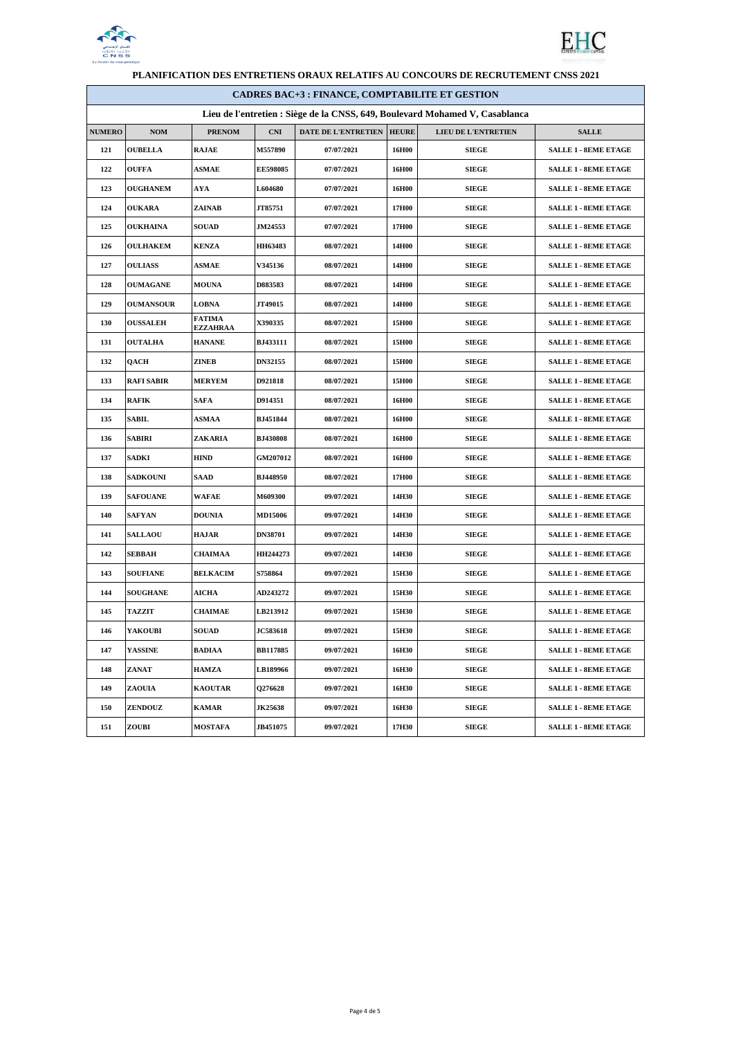



| <b>CADRES BAC+3 : FINANCE, COMPTABILITE ET GESTION</b>                       |                   |                                  |                 |                     |              |                     |                             |
|------------------------------------------------------------------------------|-------------------|----------------------------------|-----------------|---------------------|--------------|---------------------|-----------------------------|
| Lieu de l'entretien : Siège de la CNSS, 649, Boulevard Mohamed V, Casablanca |                   |                                  |                 |                     |              |                     |                             |
| <b>NUMERO</b>                                                                | <b>NOM</b>        | <b>PRENOM</b>                    | <b>CNI</b>      | DATE DE L'ENTRETIEN | <b>HEURE</b> | LIEU DE L'ENTRETIEN | <b>SALLE</b>                |
| 121                                                                          | <b>OUBELLA</b>    | <b>RAJAE</b>                     | <b>M557890</b>  | 07/07/2021          | 16H00        | <b>SIEGE</b>        | <b>SALLE 1 - 8EME ETAGE</b> |
| 122                                                                          | <b>OUFFA</b>      | <b>ASMAE</b>                     | <b>EE598085</b> | 07/07/2021          | 16H00        | <b>SIEGE</b>        | <b>SALLE 1 - 8EME ETAGE</b> |
| 123                                                                          | <b>OUGHANEM</b>   | AYA                              | <b>L604680</b>  | 07/07/2021          | 16H00        | <b>SIEGE</b>        | <b>SALLE 1 - 8EME ETAGE</b> |
| 124                                                                          | <b>OUKARA</b>     | ZAINAB                           | JT85751         | 07/07/2021          | 17H00        | <b>SIEGE</b>        | <b>SALLE 1 - 8EME ETAGE</b> |
| 125                                                                          | <b>OUKHAINA</b>   | <b>SOUAD</b>                     | <b>JM24553</b>  | 07/07/2021          | 17H00        | <b>SIEGE</b>        | <b>SALLE 1 - 8EME ETAGE</b> |
| 126                                                                          | <b>OULHAKEM</b>   | KENZA                            | <b>HH63483</b>  | 08/07/2021          | 14H00        | SIEGE               | <b>SALLE 1 - 8EME ETAGE</b> |
| 127                                                                          | <b>OULIASS</b>    | <b>ASMAE</b>                     | <b>V345136</b>  | 08/07/2021          | 14H00        | <b>SIEGE</b>        | <b>SALLE 1 - 8EME ETAGE</b> |
| 128                                                                          | OUMAGANE          | <b>MOUNA</b>                     | <b>D883583</b>  | 08/07/2021          | 14H00        | SIEGE               | <b>SALLE 1 - 8EME ETAGE</b> |
| 129                                                                          | <b>OUMANSOUR</b>  | <b>LOBNA</b>                     | <b>JT49015</b>  | 08/07/2021          | 14H00        | <b>SIEGE</b>        | <b>SALLE 1 - 8EME ETAGE</b> |
| 130                                                                          | <b>OUSSALEH</b>   | <b>FATIMA</b><br><b>EZZAHRAA</b> | <b>X390335</b>  | 08/07/2021          | 15H00        | <b>SIEGE</b>        | <b>SALLE 1 - 8EME ETAGE</b> |
| 131                                                                          | <b>OUTALHA</b>    | <b>HANANE</b>                    | <b>BJ433111</b> | 08/07/2021          | 15H00        | <b>SIEGE</b>        | <b>SALLE 1 - 8EME ETAGE</b> |
| 132                                                                          | QACH              | ZINEB                            | <b>DN32155</b>  | 08/07/2021          | 15H00        | <b>SIEGE</b>        | <b>SALLE 1 - 8EME ETAGE</b> |
| 133                                                                          | <b>RAFI SABIR</b> | <b>MERYEM</b>                    | D921818         | 08/07/2021          | 15H00        | <b>SIEGE</b>        | <b>SALLE 1 - 8EME ETAGE</b> |
| 134                                                                          | <b>RAFIK</b>      | <b>SAFA</b>                      | D914351         | 08/07/2021          | 16H00        | <b>SIEGE</b>        | <b>SALLE 1 - 8EME ETAGE</b> |
| 135                                                                          | SABIL             | <b>ASMAA</b>                     | BJ451844        | 08/07/2021          | 16H00        | <b>SIEGE</b>        | <b>SALLE 1 - 8EME ETAGE</b> |
| 136                                                                          | SABIRI            | ZAKARIA                          | <b>BJ430808</b> | 08/07/2021          | 16H00        | <b>SIEGE</b>        | <b>SALLE 1 - 8EME ETAGE</b> |
| 137                                                                          | SADKI             | <b>HIND</b>                      | <b>GM207012</b> | 08/07/2021          | 16H00        | <b>SIEGE</b>        | <b>SALLE 1 - 8EME ETAGE</b> |
| 138                                                                          | <b>SADKOUNI</b>   | SAAD                             | <b>BJ448950</b> | 08/07/2021          | 17H00        | <b>SIEGE</b>        | <b>SALLE 1 - 8EME ETAGE</b> |
| 139                                                                          | <b>SAFOUANE</b>   | <b>WAFAE</b>                     | M609300         | 09/07/2021          | 14H30        | <b>SIEGE</b>        | <b>SALLE 1 - 8EME ETAGE</b> |
| 140                                                                          | <b>SAFYAN</b>     | <b>DOUNIA</b>                    | <b>MD15006</b>  | 09/07/2021          | 14H30        | <b>SIEGE</b>        | <b>SALLE 1 - 8EME ETAGE</b> |
| 141                                                                          | <b>SALLAOU</b>    | HAJAR                            | <b>DN38701</b>  | 09/07/2021          | 14H30        | <b>SIEGE</b>        | <b>SALLE 1 - 8EME ETAGE</b> |
| 142                                                                          | SEBBAH            | <b>CHAIMAA</b>                   | HH244273        | 09/07/2021          | 14H30        | <b>SIEGE</b>        | <b>SALLE 1 - 8EME ETAGE</b> |
| 143                                                                          | <b>SOUFIANE</b>   | <b>BELKACIM</b>                  | S758864         | 09/07/2021          | 15H30        | <b>SIEGE</b>        | <b>SALLE 1 - 8EME ETAGE</b> |
| 144                                                                          | <b>SOUGHANE</b>   | <b>AICHA</b>                     | AD243272        | 09/07/2021          | 15H30        | <b>SIEGE</b>        | <b>SALLE 1 - 8EME ETAGE</b> |
| 145                                                                          | TAZZIT            | <b>CHAIMAE</b>                   | LB213912        | 09/07/2021          | 15H30        | <b>SIEGE</b>        | <b>SALLE 1 - 8EME ETAGE</b> |
| 146                                                                          | YAKOUBI           | <b>SOUAD</b>                     | <b>JC583618</b> | 09/07/2021          | 15H30        | <b>SIEGE</b>        | <b>SALLE 1 - 8EME ETAGE</b> |
| 147                                                                          | <b>YASSINE</b>    | <b>BADIAA</b>                    | <b>BB117885</b> | 09/07/2021          | 16H30        | SIEGE               | <b>SALLE 1 - 8EME ETAGE</b> |
| 148                                                                          | ZANAT             | HAMZA                            | LB189966        | 09/07/2021          | 16H30        | <b>SIEGE</b>        | <b>SALLE 1 - 8EME ETAGE</b> |
| 149                                                                          | ZAOUIA            | <b>KAOUTAR</b>                   | Q276628         | 09/07/2021          | 16H30        | <b>SIEGE</b>        | <b>SALLE 1 - 8EME ETAGE</b> |
| 150                                                                          | ZENDOUZ           | <b>KAMAR</b>                     | <b>JK25638</b>  | 09/07/2021          | 16H30        | SIEGE               | <b>SALLE 1 - 8EME ETAGE</b> |
| 151                                                                          | ZOUBI             | <b>MOSTAFA</b>                   | <b>JB451075</b> | 09/07/2021          | 17H30        | <b>SIEGE</b>        | <b>SALLE 1 - 8EME ETAGE</b> |